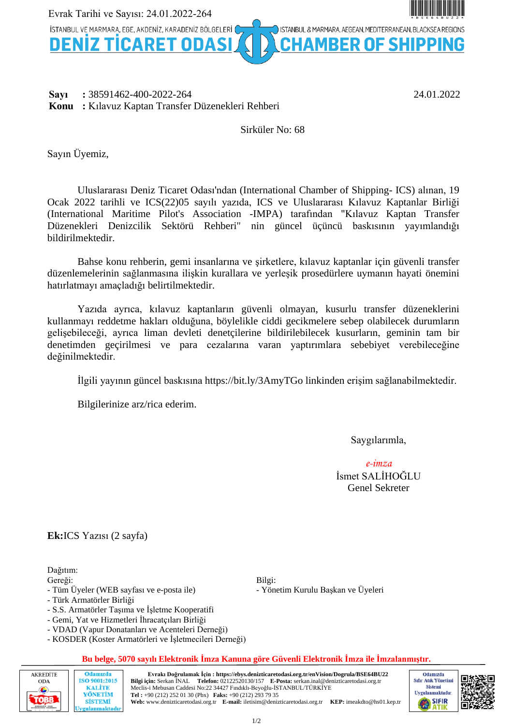

#### **Sayı :** 38591462-400-2022-264 24.01.2022 **Konu :** Kılavuz Kaptan Transfer Düzenekleri Rehberi

# Sirküler No: 68

Sayın Üyemiz,

Uluslararası Deniz Ticaret Odası'ndan (International Chamber of Shipping- ICS) alınan, 19 Ocak 2022 tarihli ve ICS(22)05 sayılı yazıda, ICS ve Uluslararası Kılavuz Kaptanlar Birliği (International Maritime Pilot's Association -IMPA) tarafından "Kılavuz Kaptan Transfer Düzenekleri Denizcilik Sektörü Rehberi" nin güncel üçüncü baskısının yayımlandığı bildirilmektedir.

Bahse konu rehberin, gemi insanlarına ve şirketlere, kılavuz kaptanlar için güvenli transfer düzenlemelerinin sağlanmasına ilişkin kurallara ve yerleşik prosedürlere uymanın hayati önemini hatırlatmayı amaçladığı belirtilmektedir.

Yazıda ayrıca, kılavuz kaptanların güvenli olmayan, kusurlu transfer düzeneklerini kullanmayı reddetme hakları olduğuna, böylelikle ciddi gecikmelere sebep olabilecek durumların gelişebileceği, ayrıca liman devleti denetçilerine bildirilebilecek kusurların, geminin tam bir denetimden geçirilmesi ve para cezalarına varan yaptırımlara sebebiyet verebileceğine değinilmektedir.

İlgili yayının güncel baskısına <https://bit.ly/3AmyTGo>linkinden erişim sağlanabilmektedir.

Bilgilerinize arz/rica ederim.

Saygılarımla,

*e-imza* İsmet SALİHOĞLU Genel Sekreter

**Ek:**ICS Yazısı (2 sayfa)

Dağıtım:

Gereği:

- Tüm Üyeler (WEB sayfası ve e-posta ile)

- Türk Armatörler Birliği

Odamızda

ISO 9001:2015 **KALITE** 

YÖNETİM

**SİSTEMİ** rulanmaktadı

- S.S. Armatörler Taşıma ve İşletme Kooperatifi
- Gemi, Yat ve Hizmetleri İhracatçıları Birliği
- VDAD (Vapur Donatanları ve Acenteleri Derneği)
- KOSDER (Koster Armatörleri ve İşletmecileri Derneği)

#### **Bu belge, 5070 sayılı Elektronik İmza Kanuna göre Güvenli Elektronik İmza ile İmzalanmıştır.**

Bilgi:

- Yönetim Kurulu Başkan ve Üyeleri



**Evrakı Doğrulamak İçin : https://ebys.denizticaretodasi.org.tr/enVision/Dogrula/BSE64BU22 Bilgi için:** Serkan İNAL **Telefon:** 02122520130/157 **E-Posta:** serkan.inal@denizticaretodasi.org.tr Meclis-i Mebusan Caddesi No:22 34427 Fındıklı-Beyoğlu-İSTANBUL/TÜRKİYE **Tel :** +90 (212) 252 01 30 (Pbx) **Faks:** +90 (212) 293 79 35 **Web:** www.denizticaretodasi.org.tr **E-mail:** iletisim@denizticaretodasi.org.tr **KEP:** imeakdto@hs01.kep.tr



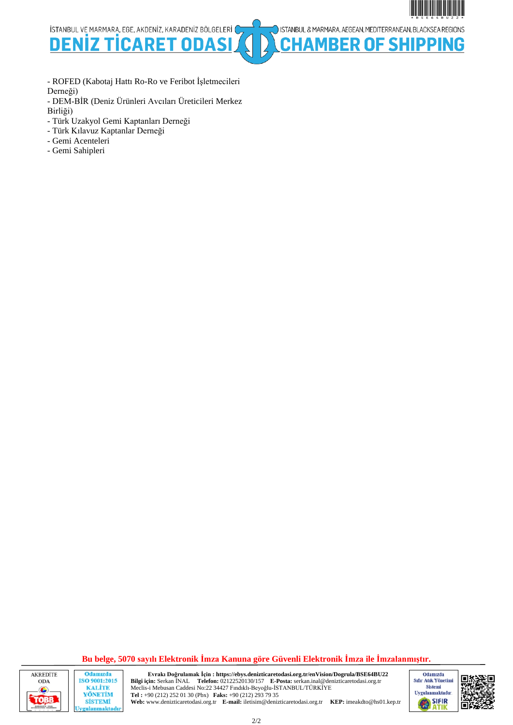

ISTANBUL & MARMARA, AEGEAN, MEDITERRANEAN, BLACKSEA REGIONS

**BER OF SHIPPING** 

İSTANBUL VE MARMARA, EGE, AKDENİZ, KARADENİZ BÖLGELERİ (

**DENI** D FП Ω

- ROFED (Kabotaj Hattı Ro-Ro ve Feribot İşletmecileri Derneği)

- DEM-BİR (Deniz Ürünleri Avcıları Üreticileri Merkez Birliği)

- Türk Uzakyol Gemi Kaptanları Derneği
- Türk Kılavuz Kaptanlar Derneği
- Gemi Acenteleri
- Gemi Sahipleri

**Bu belge, 5070 sayılı Elektronik İmza Kanuna göre Güvenli Elektronik İmza ile İmzalanmıştır.**



Odamızda ISO 9001:2015 **KALITE** YÖNETİM **SİSTEMİ** gulanmaktadır

**Evrakı Doğrulamak İçin : https://ebys.denizticaretodasi.org.tr/enVision/Dogrula/BSE64BU22 Bilgi için:** Serkan İNAL **Telefon:** 02122520130/157 **E-Posta:** serkan.inal@denizticaretodasi.org.tr Meclis-i Mebusan Caddesi No:22 34427 Fındıklı-Beyoğlu-İSTANBUL/TÜRKİYE **Tel :** +90 (212) 252 01 30 (Pbx) **Faks:** +90 (212) 293 79 35 **Web:** www.denizticaretodasi.org.tr **E-mail:** iletisim@denizticaretodasi.org.tr **KEP:** imeakdto@hs01.kep.tr



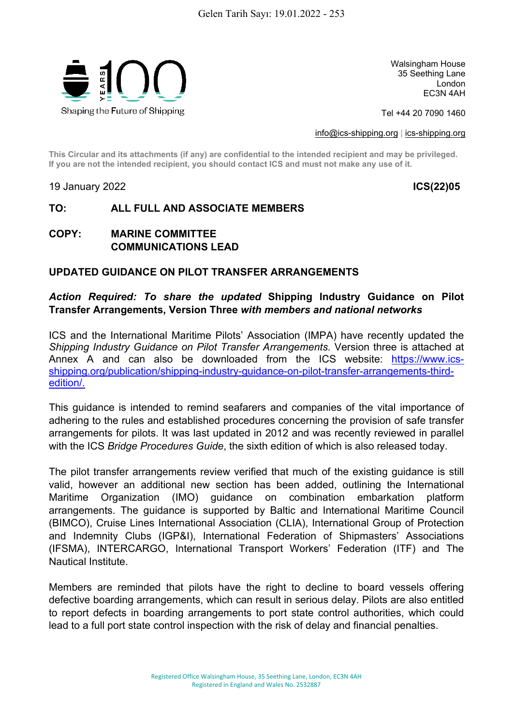

Walsingham House 35 Seething Lane London EC3N 4AH

Tel +44 20 7090 1460

[info@ics-shipping.org](mailto:info@ics-shipping.org) | [ics-shipping.org](http://www.ics-shipping.org/)

**This Circular and its attachments (if any) are confidential to the intended recipient and may be privileged. If you are not the intended recipient, you should contact ICS and must not make any use of it.**

19 January 2022 **ICS(22)05**

# **TO: ALL FULL AND ASSOCIATE MEMBERS**

**COPY: MARINE COMMITTEE COMMUNICATIONS LEAD**

#### **UPDATED GUIDANCE ON PILOT TRANSFER ARRANGEMENTS**

### *Action Required: To share the updated* **Shipping Industry Guidance on Pilot Transfer Arrangements, Version Three** *with members and national networks*

ICS and the International Maritime Pilots' Association (IMPA) have recently updated the *Shipping Industry Guidance on Pilot Transfer Arrangements.* Version three is attached at Annex A and can also be downloaded from the ICS website: [https://www.ics](https://www.ics-shipping.org/publication/shipping-industry-guidance-on-pilot-transfer-arrangements-third-edition/)[shipping.org/publication/shipping-industry-guidance-on-pilot-transfer-arrangements-third](https://www.ics-shipping.org/publication/shipping-industry-guidance-on-pilot-transfer-arrangements-third-edition/)[edition/.](https://www.ics-shipping.org/publication/shipping-industry-guidance-on-pilot-transfer-arrangements-third-edition/)

This guidance is intended to remind seafarers and companies of the vital importance of adhering to the rules and established procedures concerning the provision of safe transfer arrangements for pilots. It was last updated in 2012 and was recently reviewed in parallel with the ICS *Bridge Procedures Guide*, the sixth edition of which is also released today.

The pilot transfer arrangements review verified that much of the existing guidance is still valid, however an additional new section has been added, outlining the International Maritime Organization (IMO) guidance on combination embarkation platform arrangements. The guidance is supported by Baltic and International Maritime Council (BIMCO), Cruise Lines International Association (CLIA), International Group of Protection and Indemnity Clubs (IGP&I), International Federation of Shipmasters' Associations (IFSMA), INTERCARGO, International Transport Workers' Federation (ITF) and The Nautical Institute.

Members are reminded that pilots have the right to decline to board vessels offering defective boarding arrangements, which can result in serious delay. Pilots are also entitled to report defects in boarding arrangements to port state control authorities, which could lead to a full port state control inspection with the risk of delay and financial penalties.